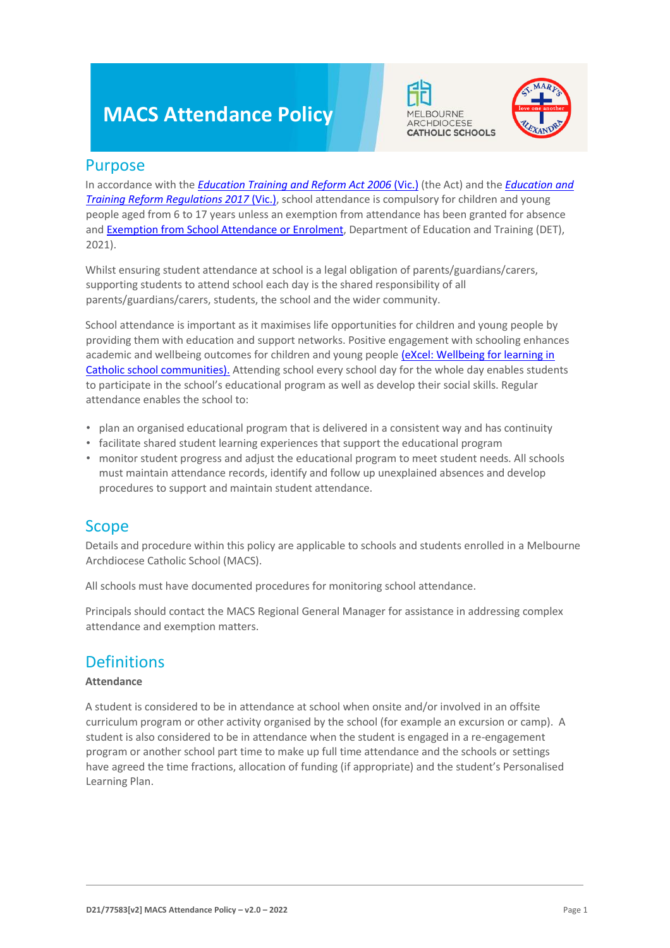# **MACS Attendance Policy**





### Purpose

In accordance with t[he](https://www.macs.vic.edu.au/CatholicEducationMelbourne/media/Documentation/Documents/eXcel-Wellbeing-for-learning_Guide_May-2018_CEM.pdf) *[Education Training and Reform Act 2006](https://www.macs.vic.edu.au/CatholicEducationMelbourne/media/Documentation/Documents/eXcel-Wellbeing-for-learning_Guide_May-2018_CEM.pdf)* [\(Vic.\)](https://www.macs.vic.edu.au/CatholicEducationMelbourne/media/Documentation/Documents/eXcel-Wellbeing-for-learning_Guide_May-2018_CEM.pdf) (the Act) and t[he](https://www.education.vic.gov.au/about/department/legislation/Pages/act2006regs.aspx) *[Education and](https://www.education.vic.gov.au/about/department/legislation/Pages/act2006regs.aspx) [Training Reform Regulations 2017](https://www.education.vic.gov.au/about/department/legislation/Pages/act2006regs.aspx)* [\(Vic.\),](https://www.education.vic.gov.au/about/department/legislation/Pages/act2006regs.aspx) school attendance is compulsory for children and young people aged from 6 to 17 years unless an exemption from attendance has been granted for absence and [Exemption from School Attendance or Enrolment,](https://www2.education.vic.gov.au/pal/exemption-school-attendance-and-enrolment/policy) Department of Education and Training (DET), 2021).

Whilst ensuring student attendance at school is a legal obligation of parents/guardians/carers, supporting students to attend school each day is the shared responsibility of all parents/guardians/carers, students, the school and the wider community.

School attendance is important as it maximises life opportunities for children and young people by providing them with education and support networks. Positive engagement with schooling enhances academic and wellbeing outcomes for children and young peopl[e \(eXcel: Wellbeing for learning in](https://www.macs.vic.edu.au/CatholicEducationMelbourne/media/Documentation/Documents/eXcel-Wellbeing-for-learning_Guide_May-2018_CEM.pdf) [Catholic school communities\).](https://www.macs.vic.edu.au/CatholicEducationMelbourne/media/Documentation/Documents/eXcel-Wellbeing-for-learning_Guide_May-2018_CEM.pdf) Attending school every school day for the whole day enables students to participate in the school's educational program as well as develop their social skills. Regular attendance enables the school to:

- plan an organised educational program that is delivered in a consistent way and has continuity
- facilitate shared student learning experiences that support the educational program
- monitor student progress and adjust the educational program to meet student needs. All schools must maintain attendance records, identify and follow up unexplained absences and develop procedures to support and maintain student attendance.

### Scope

Details and procedure within this policy are applicable to schools and students enrolled in a Melbourne Archdiocese Catholic School (MACS).

All schools must have documented procedures for monitoring school attendance.

Principals should contact the MACS Regional General Manager for assistance in addressing complex attendance and exemption matters.

### **Definitions**

#### **Attendance**

A student is considered to be in attendance at school when onsite and/or involved in an offsite curriculum program or other activity organised by the school (for example an excursion or camp). A student is also considered to be in attendance when the student is engaged in a re-engagement program or another school part time to make up full time attendance and the schools or settings have agreed the time fractions, allocation of funding (if appropriate) and the student's Personalised Learning Plan.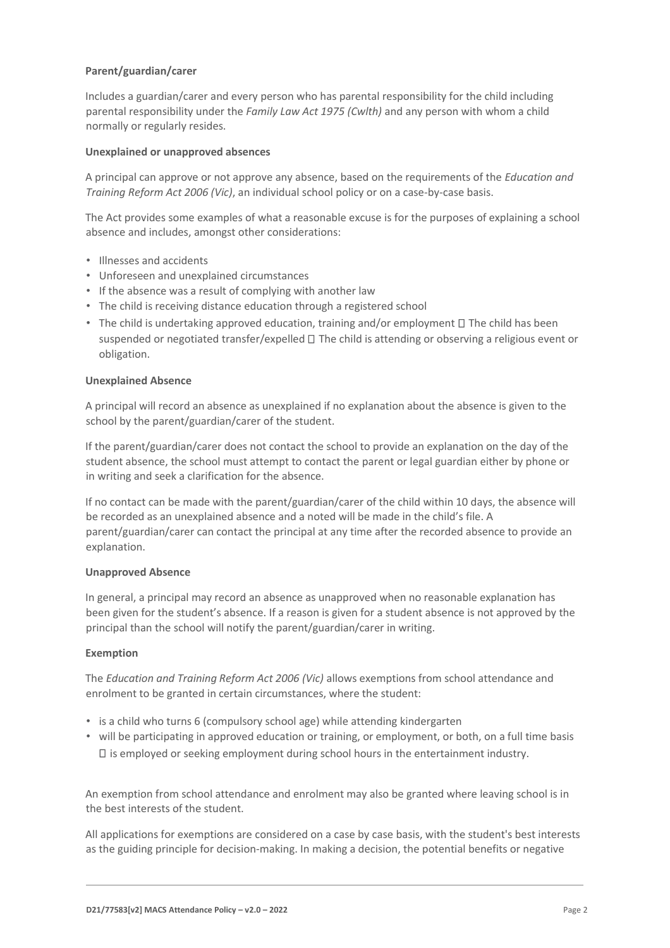#### **Parent/guardian/carer**

Includes a guardian/carer and every person who has parental responsibility for the child including parental responsibility under the *Family Law Act 1975 (Cwlth)* and any person with whom a child normally or regularly resides.

#### **Unexplained or unapproved absences**

A principal can approve or not approve any absence, based on the requirements of the *Education and Training Reform Act 2006 (Vic)*, an individual school policy or on a case-by-case basis.

The Act provides some examples of what a reasonable excuse is for the purposes of explaining a school absence and includes, amongst other considerations:

- Illnesses and accidents
- Unforeseen and unexplained circumstances
- If the absence was a result of complying with another law
- The child is receiving distance education through a registered school
- The child is undertaking approved education, training and/or employment  $\Box$  The child has been suspended or negotiated transfer/expelled  $\Box$  The child is attending or observing a religious event or obligation.

#### **Unexplained Absence**

A principal will record an absence as unexplained if no explanation about the absence is given to the school by the parent/guardian/carer of the student.

If the parent/guardian/carer does not contact the school to provide an explanation on the day of the student absence, the school must attempt to contact the parent or legal guardian either by phone or in writing and seek a clarification for the absence.

If no contact can be made with the parent/guardian/carer of the child within 10 days, the absence will be recorded as an unexplained absence and a noted will be made in the child's file. A parent/guardian/carer can contact the principal at any time after the recorded absence to provide an explanation.

#### **Unapproved Absence**

In general, a principal may record an absence as unapproved when no reasonable explanation has been given for the student's absence. If a reason is given for a student absence is not approved by the principal than the school will notify the parent/guardian/carer in writing.

#### **Exemption**

The *Education and Training Reform Act 2006 (Vic)* allows exemptions from school attendance and enrolment to be granted in certain circumstances, where the student:

- is a child who turns 6 (compulsory school age) while attending kindergarten
- will be participating in approved education or training, or employment, or both, on a full time basis  $\Box$  is employed or seeking employment during school hours in the entertainment industry.

An exemption from school attendance and enrolment may also be granted where leaving school is in the best interests of the student.

All applications for exemptions are considered on a case by case basis, with the student's best interests as the guiding principle for decision-making. In making a decision, the potential benefits or negative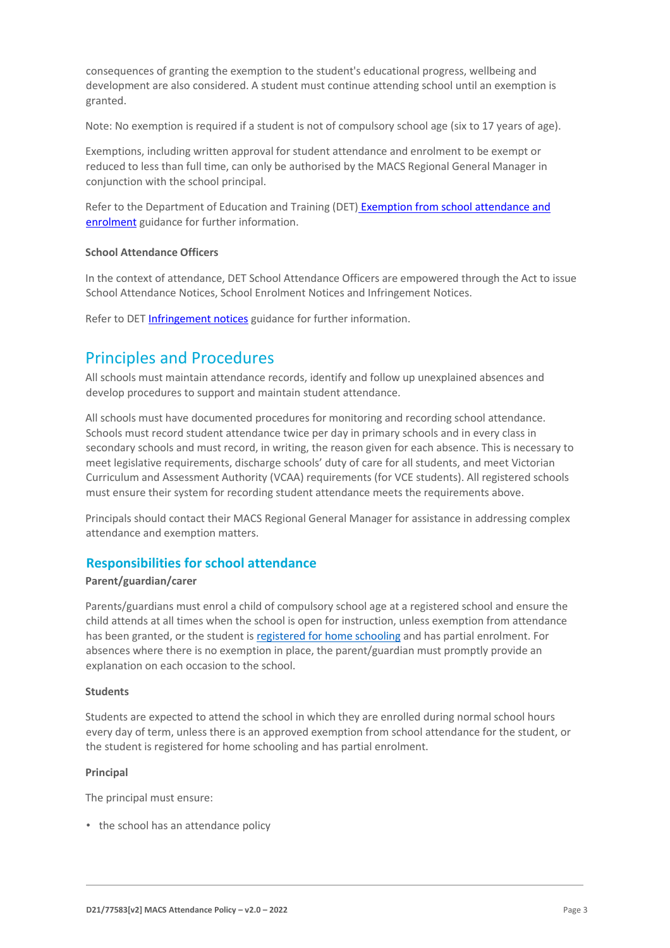consequences of granting the exemption to the student's educational progress, wellbeing and development are also considered. A student must continue attending school until an exemption is granted.

Note: No exemption is required if a student is not of compulsory school age (six to 17 years of age).

Exemptions, including written approval for student attendance and enrolment to be exempt or reduced to less than full time, can only be authorised by the MACS Regional General Manager in conjunction with the school principal.

Refer to the Department of Education and Training (DET[\)](https://www2.education.vic.gov.au/pal/exemption-school-attendance-and-enrolment/guidance/1-exemption-categories) [Exemption from school attendance and](https://www2.education.vic.gov.au/pal/exemption-school-attendance-and-enrolment/guidance/1-exemption-categories) [enrolment](https://www2.education.vic.gov.au/pal/exemption-school-attendance-and-enrolment/guidance/1-exemption-categories) guidance for further information.

#### **School Attendance Officers**

In the context of attendance, DET School Attendance Officers are empowered through the Act to issue School Attendance Notices, School Enrolment Notices and Infringement Notices.

Refer to DE[T Infringement notices](https://www2.education.vic.gov.au/pal/attendance/guidance/10-infringement-notices) guidance for further information.

### Principles and Procedures

All schools must maintain attendance records, identify and follow up unexplained absences and develop procedures to support and maintain student attendance.

All schools must have documented procedures for monitoring and recording school attendance. Schools must record student attendance twice per day in primary schools and in every class in secondary schools and must record, in writing, the reason given for each absence. This is necessary to meet legislative requirements, discharge schools' duty of care for all students, and meet Victorian Curriculum and Assessment Authority (VCAA) requirements (for VCE students). All registered schools must ensure their system for recording student attendance meets the requirements above.

Principals should contact their MACS Regional General Manager for assistance in addressing complex attendance and exemption matters.

#### **Responsibilities for school attendance**

#### **Parent/guardian/carer**

Parents/guardians must enrol a child of compulsory school age at a registered school and ensure the child attends at all times when the school is open for instruction, unless exemption from attendance has been granted, or the student is [registered for home schooling](https://www.vrqa.vic.gov.au/home/Pages/homeeducation.aspx?Redirect=1) [a](https://www.vrqa.vic.gov.au/home/Pages/homeeducation.aspx?Redirect=1)nd has partial enrolment. For absences where there is no exemption in place, the parent/guardian must promptly provide an explanation on each occasion to the school.

#### **Students**

Students are expected to attend the school in which they are enrolled during normal school hours every day of term, unless there is an approved exemption from school attendance for the student, or the student is registered for home schooling and has partial enrolment.

#### **Principal**

The principal must ensure:

• the school has an attendance policy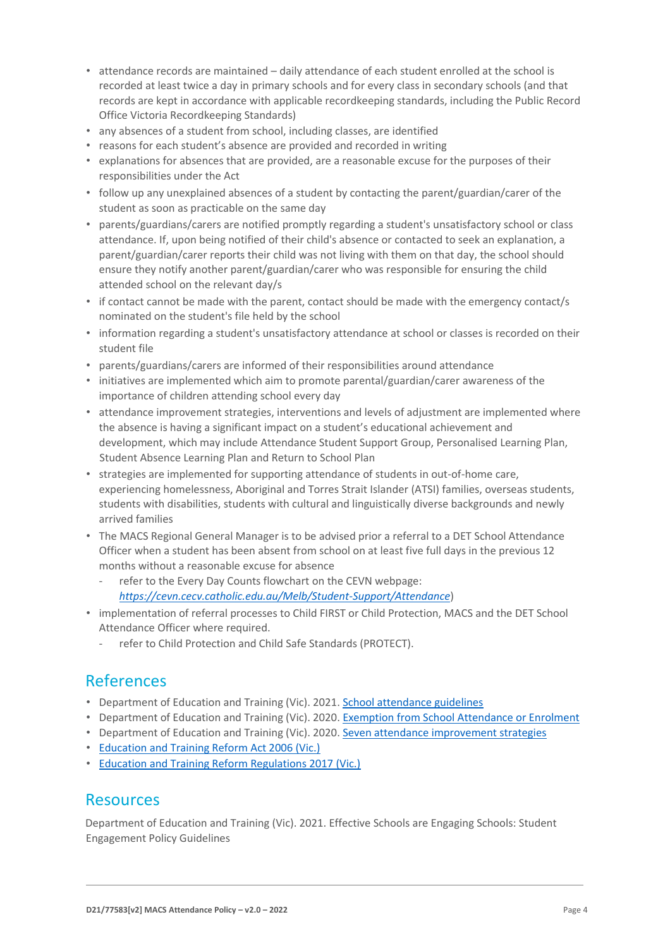- attendance records are maintained daily attendance of each student enrolled at the school is recorded at least twice a day in primary schools and for every class in secondary schools (and that records are kept in accordance with applicable recordkeeping standards, including the Public Record Office Victoria Recordkeeping Standards)
- any absences of a student from school, including classes, are identified
- reasons for each student's absence are provided and recorded in writing
- explanations for absences that are provided, are a reasonable excuse for the purposes of their responsibilities under the Act
- follow up any unexplained absences of a student by contacting the parent/guardian/carer of the student as soon as practicable on the same day
- parents/guardians/carers are notified promptly regarding a student's unsatisfactory school or class attendance. If, upon being notified of their child's absence or contacted to seek an explanation, a parent/guardian/carer reports their child was not living with them on that day, the school should ensure they notify another parent/guardian/carer who was responsible for ensuring the child attended school on the relevant day/s
- if contact cannot be made with the parent, contact should be made with the emergency contact/s nominated on the student's file held by the school
- information regarding a student's unsatisfactory attendance at school or classes is recorded on their student file
- parents/guardians/carers are informed of their responsibilities around attendance
- initiatives are implemented which aim to promote parental/guardian/carer awareness of the importance of children attending school every day
- attendance improvement strategies, interventions and levels of adjustment are implemented where the absence is having a significant impact on a student's educational achievement and development, which may include Attendance Student Support Group, Personalised Learning Plan, Student Absence Learning Plan and Return to School Plan
- strategies are implemented for supporting attendance of students in out-of-home care, experiencing homelessness, Aboriginal and Torres Strait Islander (ATSI) families, overseas students, students with disabilities, students with cultural and linguistically diverse backgrounds and newly arrived families
- The MACS Regional General Manager is to be advised prior a referral to a DET School Attendance Officer when a student has been absent from school on at least five full days in the previous 12 months without a reasonable excuse for absence
	- refer to the Every Day Counts flowchart on the CEVN webpage: *<https://cevn.cecv.catholic.edu.au/Melb/Student-Support/Attendance>*[\)](https://cevn.cecv.catholic.edu.au/Melb/Student-Support/Attendance)
- implementation of referral processes to Child FIRST or Child Protection, MACS and the DET School Attendance Officer where required.
	- refer to Child Protection and Child Safe Standards (PROTECT).

### References

- Department of Education and Training (Vic). 202[1. School attendance guidelines](https://www2.education.vic.gov.au/pal/attendance/guidance)
- Department of Education and Training (Vic). 202[0. Exemption from School Attendance or Enrolment](https://www2.education.vic.gov.au/pal/exemption-school-attendance-and-enrolment/policy)
- Department of Education and Training (Vic). 202[0. Seven attendance improvement strategies](https://www2.education.vic.gov.au/pal/attendance/guidance/7-attendance-improvement-strategies)
- [Education and Training Reform Act 2006 \(Vic.\)](https://www.legislation.vic.gov.au/in-force/acts/education-and-training-reform-act-2006/083)
- [Education and Training Reform Regulations 2017 \(Vic.\)](https://www.education.vic.gov.au/about/department/legislation/Pages/act2006regs.aspx)

### **Resources**

Department of Education and Training (Vic). 2021. Effective Schools are Engaging Schools: Student Engagement Policy Guidelines